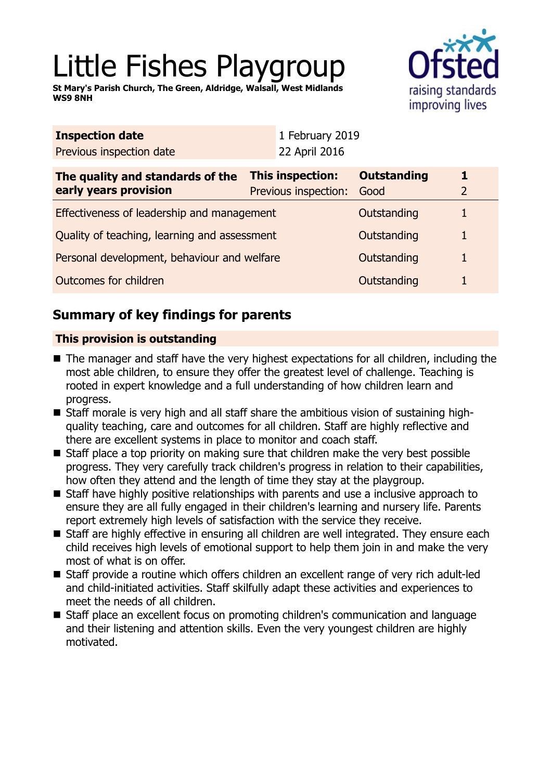# Little Fishes Playgroup

**St Mary's Parish Church, The Green, Aldridge, Walsall, West Midlands WS9 8NH**



| <b>Inspection date</b>                                    |                                          | 1 February 2019            |   |  |
|-----------------------------------------------------------|------------------------------------------|----------------------------|---|--|
| Previous inspection date                                  | 22 April 2016                            |                            |   |  |
| The quality and standards of the<br>early years provision | This inspection:<br>Previous inspection: | <b>Outstanding</b><br>Good | 1 |  |
| Effectiveness of leadership and management                |                                          | Outstanding                |   |  |
| Quality of teaching, learning and assessment              |                                          | Outstanding                |   |  |
| Personal development, behaviour and welfare               |                                          | Outstanding                |   |  |
| Outcomes for children                                     |                                          | Outstanding                |   |  |
|                                                           |                                          |                            |   |  |

# **Summary of key findings for parents**

## **This provision is outstanding**

- The manager and staff have the very highest expectations for all children, including the most able children, to ensure they offer the greatest level of challenge. Teaching is rooted in expert knowledge and a full understanding of how children learn and progress.
- Staff morale is very high and all staff share the ambitious vision of sustaining highquality teaching, care and outcomes for all children. Staff are highly reflective and there are excellent systems in place to monitor and coach staff.
- $\blacksquare$  Staff place a top priority on making sure that children make the very best possible progress. They very carefully track children's progress in relation to their capabilities, how often they attend and the length of time they stay at the playgroup.
- Staff have highly positive relationships with parents and use a inclusive approach to ensure they are all fully engaged in their children's learning and nursery life. Parents report extremely high levels of satisfaction with the service they receive.
- Staff are highly effective in ensuring all children are well integrated. They ensure each child receives high levels of emotional support to help them join in and make the very most of what is on offer.
- Staff provide a routine which offers children an excellent range of very rich adult-led and child-initiated activities. Staff skilfully adapt these activities and experiences to meet the needs of all children.
- Staff place an excellent focus on promoting children's communication and language and their listening and attention skills. Even the very youngest children are highly motivated.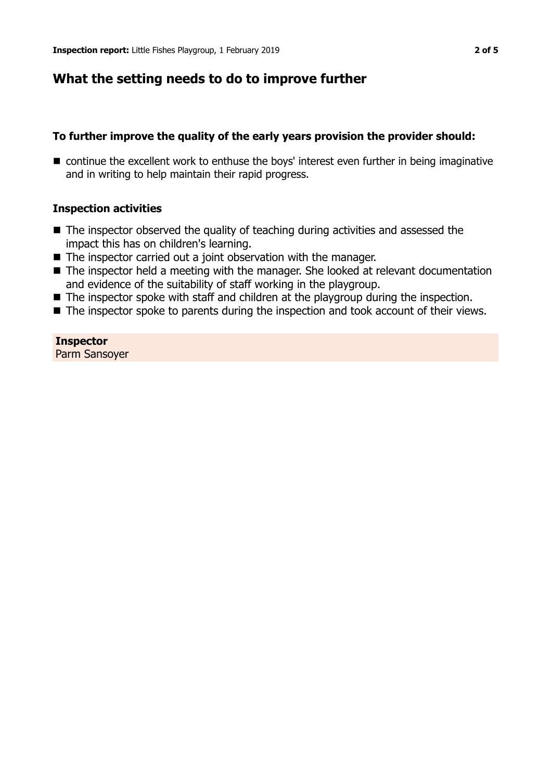## **What the setting needs to do to improve further**

#### **To further improve the quality of the early years provision the provider should:**

■ continue the excellent work to enthuse the boys' interest even further in being imaginative and in writing to help maintain their rapid progress.

#### **Inspection activities**

- $\blacksquare$  The inspector observed the quality of teaching during activities and assessed the impact this has on children's learning.
- $\blacksquare$  The inspector carried out a joint observation with the manager.
- The inspector held a meeting with the manager. She looked at relevant documentation and evidence of the suitability of staff working in the playgroup.
- $\blacksquare$  The inspector spoke with staff and children at the playgroup during the inspection.
- $\blacksquare$  The inspector spoke to parents during the inspection and took account of their views.

**Inspector** Parm Sansoyer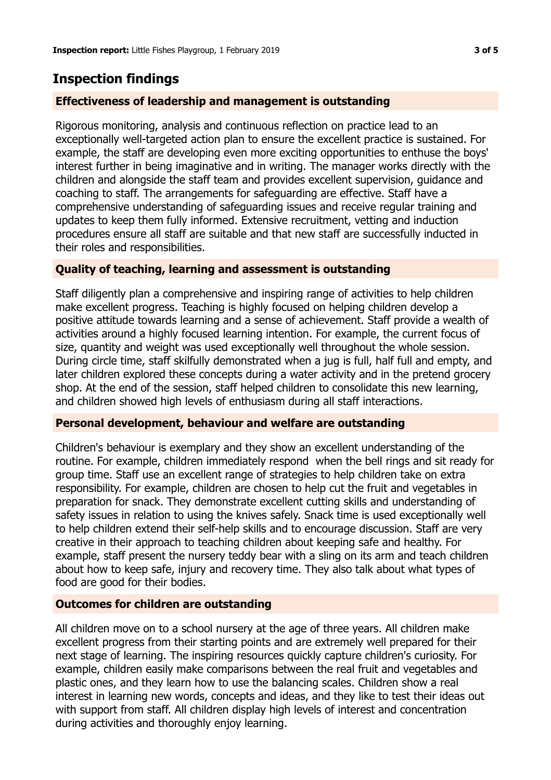# **Inspection findings**

## **Effectiveness of leadership and management is outstanding**

Rigorous monitoring, analysis and continuous reflection on practice lead to an exceptionally well-targeted action plan to ensure the excellent practice is sustained. For example, the staff are developing even more exciting opportunities to enthuse the boys' interest further in being imaginative and in writing. The manager works directly with the children and alongside the staff team and provides excellent supervision, guidance and coaching to staff. The arrangements for safeguarding are effective. Staff have a comprehensive understanding of safeguarding issues and receive regular training and updates to keep them fully informed. Extensive recruitment, vetting and induction procedures ensure all staff are suitable and that new staff are successfully inducted in their roles and responsibilities.

## **Quality of teaching, learning and assessment is outstanding**

Staff diligently plan a comprehensive and inspiring range of activities to help children make excellent progress. Teaching is highly focused on helping children develop a positive attitude towards learning and a sense of achievement. Staff provide a wealth of activities around a highly focused learning intention. For example, the current focus of size, quantity and weight was used exceptionally well throughout the whole session. During circle time, staff skilfully demonstrated when a jug is full, half full and empty, and later children explored these concepts during a water activity and in the pretend grocery shop. At the end of the session, staff helped children to consolidate this new learning, and children showed high levels of enthusiasm during all staff interactions.

## **Personal development, behaviour and welfare are outstanding**

Children's behaviour is exemplary and they show an excellent understanding of the routine. For example, children immediately respond when the bell rings and sit ready for group time. Staff use an excellent range of strategies to help children take on extra responsibility. For example, children are chosen to help cut the fruit and vegetables in preparation for snack. They demonstrate excellent cutting skills and understanding of safety issues in relation to using the knives safely. Snack time is used exceptionally well to help children extend their self-help skills and to encourage discussion. Staff are very creative in their approach to teaching children about keeping safe and healthy. For example, staff present the nursery teddy bear with a sling on its arm and teach children about how to keep safe, injury and recovery time. They also talk about what types of food are good for their bodies.

## **Outcomes for children are outstanding**

All children move on to a school nursery at the age of three years. All children make excellent progress from their starting points and are extremely well prepared for their next stage of learning. The inspiring resources quickly capture children's curiosity. For example, children easily make comparisons between the real fruit and vegetables and plastic ones, and they learn how to use the balancing scales. Children show a real interest in learning new words, concepts and ideas, and they like to test their ideas out with support from staff. All children display high levels of interest and concentration during activities and thoroughly enjoy learning.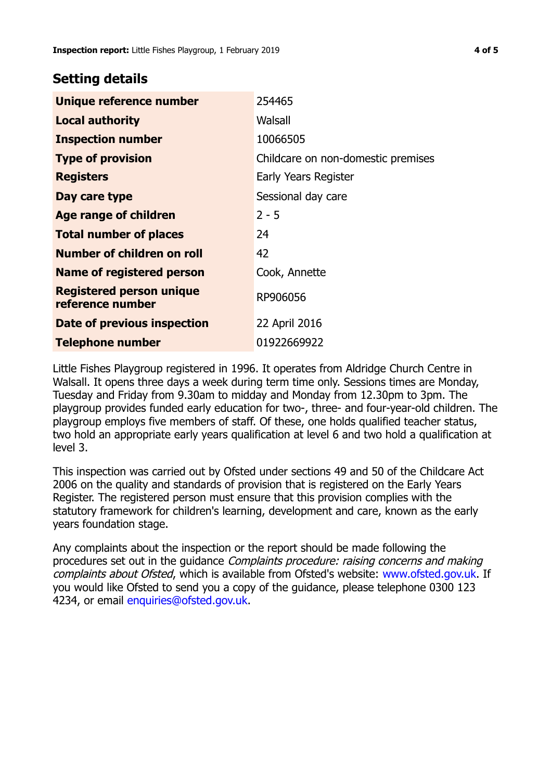## **Setting details**

| Unique reference number                             | 254465                             |
|-----------------------------------------------------|------------------------------------|
| <b>Local authority</b>                              | Walsall                            |
| <b>Inspection number</b>                            | 10066505                           |
| <b>Type of provision</b>                            | Childcare on non-domestic premises |
| <b>Registers</b>                                    | Early Years Register               |
| Day care type                                       | Sessional day care                 |
| Age range of children                               | $2 - 5$                            |
| <b>Total number of places</b>                       | 24                                 |
| Number of children on roll                          | 42                                 |
| Name of registered person                           | Cook, Annette                      |
| <b>Registered person unique</b><br>reference number | RP906056                           |
| Date of previous inspection                         | 22 April 2016                      |
| <b>Telephone number</b>                             | 01922669922                        |

Little Fishes Playgroup registered in 1996. It operates from Aldridge Church Centre in Walsall. It opens three days a week during term time only. Sessions times are Monday, Tuesday and Friday from 9.30am to midday and Monday from 12.30pm to 3pm. The playgroup provides funded early education for two-, three- and four-year-old children. The playgroup employs five members of staff. Of these, one holds qualified teacher status, two hold an appropriate early years qualification at level 6 and two hold a qualification at level 3.

This inspection was carried out by Ofsted under sections 49 and 50 of the Childcare Act 2006 on the quality and standards of provision that is registered on the Early Years Register. The registered person must ensure that this provision complies with the statutory framework for children's learning, development and care, known as the early years foundation stage.

Any complaints about the inspection or the report should be made following the procedures set out in the guidance Complaints procedure: raising concerns and making complaints about Ofsted, which is available from Ofsted's website: www.ofsted.gov.uk. If you would like Ofsted to send you a copy of the guidance, please telephone 0300 123 4234, or email [enquiries@ofsted.gov.uk.](mailto:enquiries@ofsted.gov.uk)